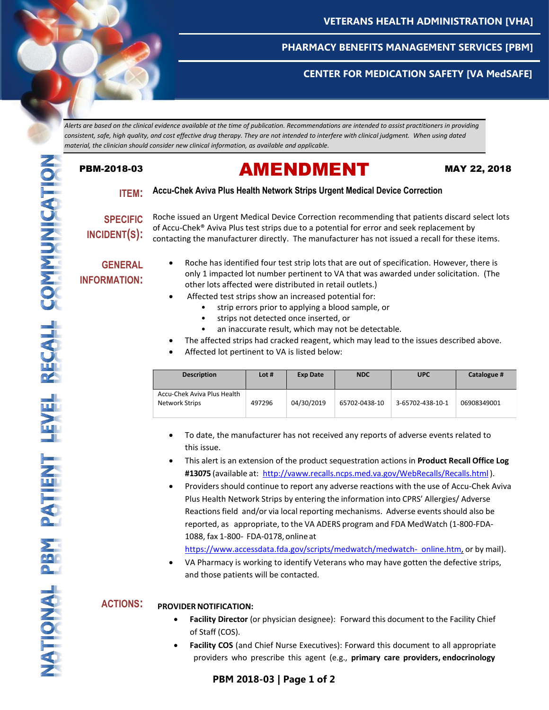

## **CENTER FOR MEDICATION SAFETY [VA MedSAFE]**

*Alerts are based on the clinical evidence available at the time of publication. Recommendations are intended to assist practitioners in providing consistent, safe, high quality, and cost effective drug therapy. They are not intended to interfere with clinical judgment. When using dated material, the clinician should consider new clinical information, as available and applicable.*

# PBM-2018-03 **AMENDMENT** MAY 22, 2018

### **ITEM: Accu-Chek Aviva Plus Health Network Strips Urgent Medical Device Correction**

**SPECIFIC INCIDENT(S):**

Roche issued an Urgent Medical Device Correction recommending that patients discard select lots of Accu-Chek® Aviva Plus test strips due to a potential for error and seek replacement by contacting the manufacturer directly. The manufacturer has not issued a recall for these items.

### **GENERAL INFORMATION:**

- Roche has identified four test strip lots that are out of specification. However, there is only 1 impacted lot number pertinent to VA that was awarded under solicitation. (The other lots affected were distributed in retail outlets.)
- Affected test strips show an increased potential for:
	- strip errors prior to applying a blood sample, or
	- strips not detected once inserted, or
	- an inaccurate result, which may not be detectable.
- The affected strips had cracked reagent, which may lead to the issues described above.
- Affected lot pertinent to VA is listed below:

| <b>Description</b>                                   | Lot $#$ | <b>Exp Date</b> | <b>NDC</b>    | <b>UPC</b>       | Catalogue # |
|------------------------------------------------------|---------|-----------------|---------------|------------------|-------------|
| Accu-Chek Aviva Plus Health<br><b>Network Strips</b> | 497296  | 04/30/2019      | 65702-0438-10 | 3-65702-438-10-1 | 06908349001 |

- To date, the manufacturer has not received any reports of adverse events related to this issue.
- This alert is an extension of the product sequestration actions in **Product Recall Office Log #13075** (available at: <http://vaww.recalls.ncps.med.va.gov/WebRecalls/Recalls.html> ).
- Providers should continue to report any adverse reactions with the use of Accu-Chek Aviva Plus Health Network Strips by entering the information into CPRS' Allergies/ Adverse Reactions field and/or via local reporting mechanisms. Adverse events should also be reported, as appropriate, to the VA ADERS program and FDA MedWatch (1-800-FDA-1088, fax 1-800- FDA-0178,onlineat

[https://www.accessdata.fda.gov/scripts/medwatch/medwatch-](https://www.accessdata.fda.gov/scripts/medwatch/medwatch-online.htm) [online.htm,](https://www.accessdata.fda.gov/scripts/medwatch/medwatch-online.htm) or by mail).

 VA Pharmacy is working to identify Veterans who may have gotten the defective strips, and those patients will be contacted.

### **ACTIONS: PROVIDERNOTIFICATION:**

- **Facility Director** (or physician designee): Forward this document to the Facility Chief of Staff (COS).
- **Facility COS** (and Chief Nurse Executives): Forward this document to all appropriate providers who prescribe this agent (e.g., **primary care providers, endocrinology**

# **PBM 2017-12 | Page 1 of 3 PBM 2017-12 | Page 1 of 3 PBM 2017-12 | Page 1 of 3 PBM 2018-03 | Page 1 of 2 PBM 2017-12 | Page 1 of 3**